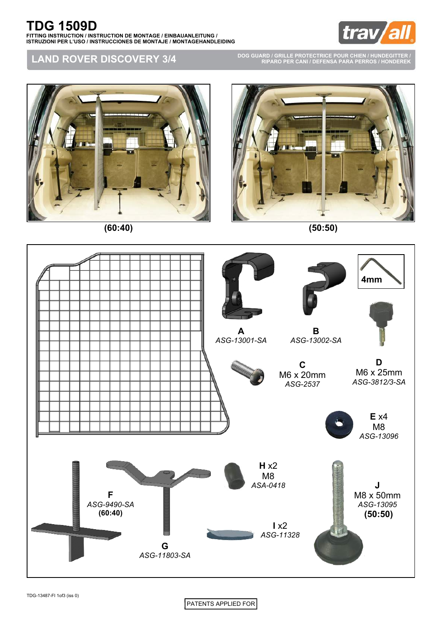

## **LAND ROVER DISCOVERY 3/4**

**DOG GUARD / GRILLE PROTECTRICE POUR CHIEN / HUNDEGITTER / RIPARO PER CANI / DEFENSA PARA PERROS / HONDEREK**





**(60:40) (50:50)**





PATENTS APPLIED FOR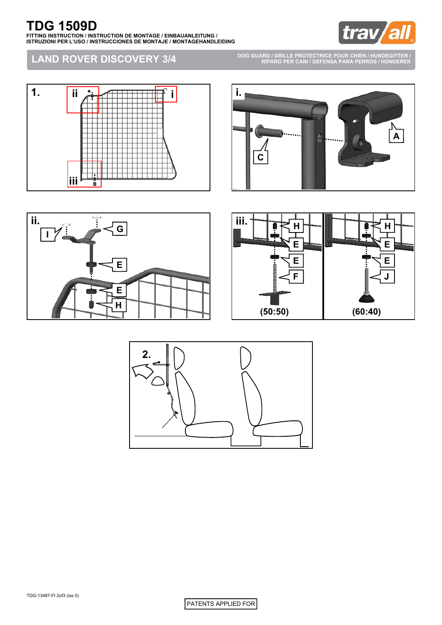

## **LAND ROVER DISCOVERY 3/4**

**DOG GUARD / GRILLE PROTECTRICE POUR CHIEN / HUNDEGITTER / RIPARO PER CANI / DEFENSA PARA PERROS / HONDEREK**